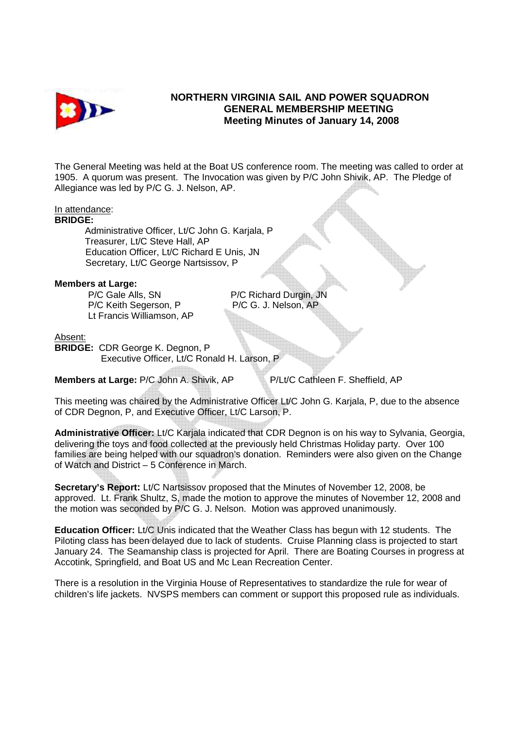

## **NORTHERN VIRGINIA SAIL AND POWER SQUADRON GENERAL MEMBERSHIP MEETING Meeting Minutes of January 14, 2008**

The General Meeting was held at the Boat US conference room. The meeting was called to order at 1905. A quorum was present. The Invocation was given by P/C John Shivik, AP. The Pledge of Allegiance was led by P/C G. J. Nelson, AP.

### In attendance:

#### **BRIDGE:**

 Administrative Officer, Lt/C John G. Karjala, P Treasurer, Lt/C Steve Hall, AP Education Officer, Lt/C Richard E Unis, JN Secretary, Lt/C George Nartsissov, P

#### **Members at Large:**

**P/C Gale Alls, SN P/C Richard Durgin, JN** P/C Keith Segerson, P P/C G. J. Nelson, AP Lt Francis Williamson, AP

#### Absent:

**BRIDGE:** CDR George K. Degnon, P Executive Officer, Lt/C Ronald H. Larson, P

**Members at Large:** P/C John A. Shivik, AP P/Lt/C Cathleen F. Sheffield, AP

This meeting was chaired by the Administrative Officer Lt/C John G. Karjala, P, due to the absence of CDR Degnon, P, and Executive Officer, Lt/C Larson, P.

**Administrative Officer:** Lt/C Karjala indicated that CDR Degnon is on his way to Sylvania, Georgia, delivering the toys and food collected at the previously held Christmas Holiday party. Over 100 families are being helped with our squadron's donation. Reminders were also given on the Change of Watch and District – 5 Conference in March.

**Secretary's Report:** Lt/C Nartsissov proposed that the Minutes of November 12, 2008, be approved. Lt. Frank Shultz, S, made the motion to approve the minutes of November 12, 2008 and the motion was seconded by P/C G. J. Nelson. Motion was approved unanimously.

**Education Officer:** Lt/C Unis indicated that the Weather Class has begun with 12 students. The Piloting class has been delayed due to lack of students. Cruise Planning class is projected to start January 24. The Seamanship class is projected for April. There are Boating Courses in progress at Accotink, Springfield, and Boat US and Mc Lean Recreation Center.

There is a resolution in the Virginia House of Representatives to standardize the rule for wear of children's life jackets. NVSPS members can comment or support this proposed rule as individuals.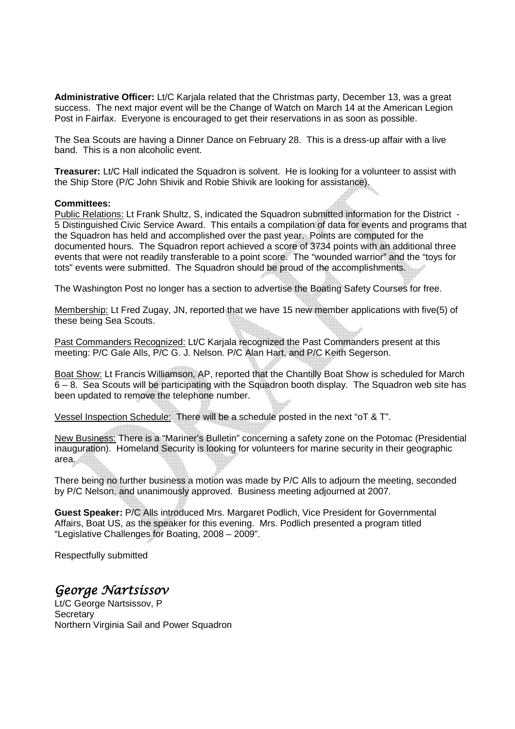**Administrative Officer:** Lt/C Karjala related that the Christmas party, December 13, was a great success. The next major event will be the Change of Watch on March 14 at the American Legion Post in Fairfax. Everyone is encouraged to get their reservations in as soon as possible.

The Sea Scouts are having a Dinner Dance on February 28. This is a dress-up affair with a live band. This is a non alcoholic event.

**Treasurer:** Lt/C Hall indicated the Squadron is solvent. He is looking for a volunteer to assist with the Ship Store (P/C John Shivik and Robie Shivik are looking for assistance).

### **Committees:**

Public Relations: Lt Frank Shultz, S, indicated the Squadron submitted information for the District - 5 Distinguished Civic Service Award. This entails a compilation of data for events and programs that the Squadron has held and accomplished over the past year. Points are computed for the documented hours. The Squadron report achieved a score of 3734 points with an additional three events that were not readily transferable to a point score. The "wounded warrior" and the "toys for tots" events were submitted. The Squadron should be proud of the accomplishments.

The Washington Post no longer has a section to advertise the Boating Safety Courses for free.

Membership: Lt Fred Zugay, JN, reported that we have 15 new member applications with five(5) of these being Sea Scouts.

Past Commanders Recognized: Lt/C Karjala recognized the Past Commanders present at this meeting: P/C Gale Alls, P/C G. J. Nelson. P/C Alan Hart, and P/C Keith Segerson.

Boat Show: Lt Francis Williamson, AP, reported that the Chantilly Boat Show is scheduled for March 6 – 8. Sea Scouts will be participating with the Squadron booth display. The Squadron web site has been updated to remove the telephone number.

Vessel Inspection Schedule: There will be a schedule posted in the next "oT & T".

New Business: There is a "Mariner's Bulletin" concerning a safety zone on the Potomac (Presidential inauguration). Homeland Security is looking for volunteers for marine security in their geographic area.

There being no further business a motion was made by P/C Alls to adjourn the meeting, seconded by P/C Nelson, and unanimously approved. Business meeting adjourned at 2007.

**Guest Speaker:** P/C Alls introduced Mrs. Margaret Podlich, Vice President for Governmental Affairs, Boat US, as the speaker for this evening. Mrs. Podlich presented a program titled "Legislative Challenges for Boating, 2008 – 2009".

Respectfully submitted

# George Nartsissov

Lt/C George Nartsissov, P **Secretary** Northern Virginia Sail and Power Squadron